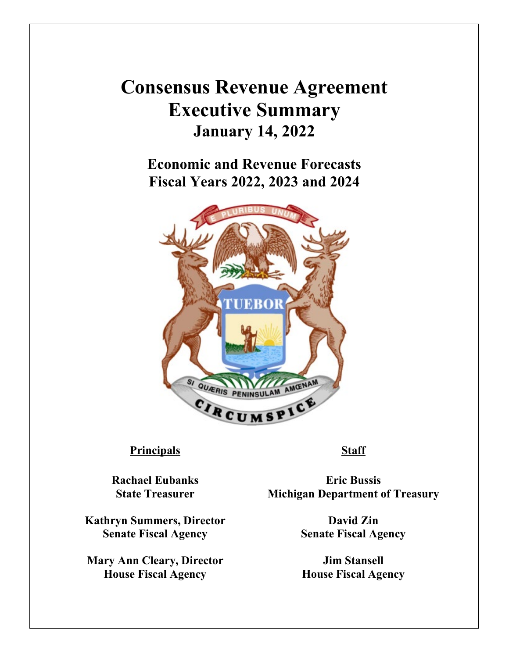## **Consensus Revenue Agreement Executive Summary January 14, 2022**

**Economic and Revenue Forecasts Fiscal Years 2022, 2023 and 2024**



## **Principals Staff**

**Rachael Eubanks State Treasurer**

**Kathryn Summers, Director Senate Fiscal Agency**

**Mary Ann Cleary, Director House Fiscal Agency**

**Eric Bussis Michigan Department of Treasury**

> **David Zin Senate Fiscal Agency**

**Jim Stansell House Fiscal Agency**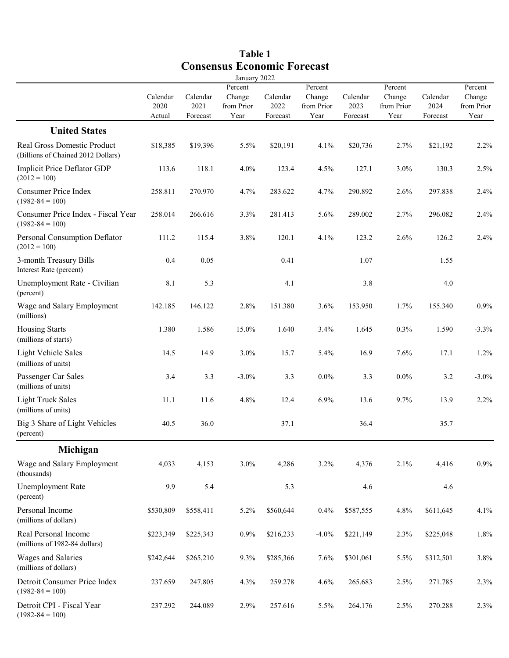| January 2022                                                      |                  |                  |                                 |                  |                                 |                  |                                 |                  |                                 |  |  |
|-------------------------------------------------------------------|------------------|------------------|---------------------------------|------------------|---------------------------------|------------------|---------------------------------|------------------|---------------------------------|--|--|
|                                                                   | Calendar<br>2020 | Calendar<br>2021 | Percent<br>Change<br>from Prior | Calendar<br>2022 | Percent<br>Change<br>from Prior | Calendar<br>2023 | Percent<br>Change<br>from Prior | Calendar<br>2024 | Percent<br>Change<br>from Prior |  |  |
|                                                                   | Actual           | Forecast         | Year                            | Forecast         | Year                            | Forecast         | Year                            | Forecast         | Year                            |  |  |
| <b>United States</b>                                              |                  |                  |                                 |                  |                                 |                  |                                 |                  |                                 |  |  |
| Real Gross Domestic Product<br>(Billions of Chained 2012 Dollars) | \$18,385         | \$19,396         | 5.5%                            | \$20,191         | 4.1%                            | \$20,736         | 2.7%                            | \$21,192         | 2.2%                            |  |  |
| Implicit Price Deflator GDP<br>$(2012 = 100)$                     | 113.6            | 118.1            | 4.0%                            | 123.4            | 4.5%                            | 127.1            | 3.0%                            | 130.3            | 2.5%                            |  |  |
| <b>Consumer Price Index</b><br>$(1982 - 84 = 100)$                | 258.811          | 270.970          | 4.7%                            | 283.622          | 4.7%                            | 290.892          | 2.6%                            | 297.838          | 2.4%                            |  |  |
| Consumer Price Index - Fiscal Year<br>$(1982 - 84 = 100)$         | 258.014          | 266.616          | 3.3%                            | 281.413          | 5.6%                            | 289.002          | 2.7%                            | 296.082          | 2.4%                            |  |  |
| Personal Consumption Deflator<br>$(2012 = 100)$                   | 111.2            | 115.4            | 3.8%                            | 120.1            | 4.1%                            | 123.2            | 2.6%                            | 126.2            | 2.4%                            |  |  |
| 3-month Treasury Bills<br>Interest Rate (percent)                 | 0.4              | 0.05             |                                 | 0.41             |                                 | 1.07             |                                 | 1.55             |                                 |  |  |
| Unemployment Rate - Civilian<br>(percent)                         | $8.1\,$          | 5.3              |                                 | 4.1              |                                 | 3.8              |                                 | 4.0              |                                 |  |  |
| Wage and Salary Employment<br>(millions)                          | 142.185          | 146.122          | 2.8%                            | 151.380          | 3.6%                            | 153.950          | 1.7%                            | 155.340          | 0.9%                            |  |  |
| <b>Housing Starts</b><br>(millions of starts)                     | 1.380            | 1.586            | 15.0%                           | 1.640            | 3.4%                            | 1.645            | 0.3%                            | 1.590            | $-3.3%$                         |  |  |
| Light Vehicle Sales<br>(millions of units)                        | 14.5             | 14.9             | 3.0%                            | 15.7             | 5.4%                            | 16.9             | 7.6%                            | 17.1             | 1.2%                            |  |  |
| Passenger Car Sales<br>(millions of units)                        | 3.4              | 3.3              | $-3.0\%$                        | 3.3              | $0.0\%$                         | 3.3              | $0.0\%$                         | $3.2\,$          | $-3.0\%$                        |  |  |
| <b>Light Truck Sales</b><br>(millions of units)                   | 11.1             | 11.6             | 4.8%                            | 12.4             | 6.9%                            | 13.6             | 9.7%                            | 13.9             | 2.2%                            |  |  |
| Big 3 Share of Light Vehicles<br>(percent)                        | 40.5             | 36.0             |                                 | 37.1             |                                 | 36.4             |                                 | 35.7             |                                 |  |  |
| Michigan                                                          |                  |                  |                                 |                  |                                 |                  |                                 |                  |                                 |  |  |
| Wage and Salary Employment<br>(thousands)                         | 4,033            | 4,153            | 3.0%                            | 4,286            | 3.2%                            | 4,376            | 2.1%                            | 4,416            | 0.9%                            |  |  |
| <b>Unemployment Rate</b><br>(percent)                             | 9.9              | 5.4              |                                 | 5.3              |                                 | 4.6              |                                 | 4.6              |                                 |  |  |
| Personal Income<br>(millions of dollars)                          | \$530,809        | \$558,411        | 5.2%                            | \$560,644        | 0.4%                            | \$587,555        | 4.8%                            | \$611,645        | 4.1%                            |  |  |
| Real Personal Income<br>(millions of 1982-84 dollars)             | \$223,349        | \$225,343        | 0.9%                            | \$216,233        | $-4.0%$                         | \$221,149        | 2.3%                            | \$225,048        | $1.8\%$                         |  |  |
| Wages and Salaries<br>(millions of dollars)                       | \$242,644        | \$265,210        | 9.3%                            | \$285,366        | 7.6%                            | \$301,061        | 5.5%                            | \$312,501        | 3.8%                            |  |  |
| Detroit Consumer Price Index<br>$(1982 - 84 = 100)$               | 237.659          | 247.805          | 4.3%                            | 259.278          | 4.6%                            | 265.683          | 2.5%                            | 271.785          | 2.3%                            |  |  |
| Detroit CPI - Fiscal Year<br>$(1982 - 84 = 100)$                  | 237.292          | 244.089          | 2.9%                            | 257.616          | 5.5%                            | 264.176          | 2.5%                            | 270.288          | 2.3%                            |  |  |

## **Table 1 Consensus Economic Forecast**